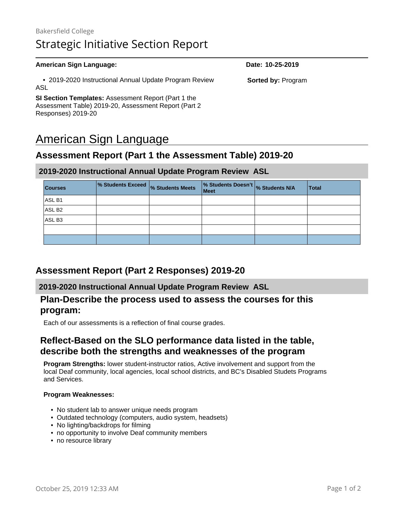# Bakersfield College Strategic Initiative Section Report

#### **American Sign Language: Date: 10-25-2019** • 2019-2020 Instructional Annual Update Program Review ASL **SI Section Templates:** Assessment Report (Part 1 the Assessment Table) 2019-20, Assessment Report (Part 2 Responses) 2019-20 **Sorted by:** Program

# American Sign Language

# **Assessment Report (Part 1 the Assessment Table) 2019-20**

#### **2019-2020 Instructional Annual Update Program Review ASL**

| <b>Courses</b>     | % Students Exceed % Students Meets | % Students Doesn't % Students N/A<br><b>Meet</b> | <b>Total</b> |
|--------------------|------------------------------------|--------------------------------------------------|--------------|
| ASL B1             |                                    |                                                  |              |
| ASL B <sub>2</sub> |                                    |                                                  |              |
| ASL B3             |                                    |                                                  |              |
|                    |                                    |                                                  |              |
|                    |                                    |                                                  |              |

### **Assessment Report (Part 2 Responses) 2019-20**

#### **2019-2020 Instructional Annual Update Program Review ASL**

### **Plan-Describe the process used to assess the courses for this program:**

Each of our assessments is a reflection of final course grades.

## **Reflect-Based on the SLO performance data listed in the table, describe both the strengths and weaknesses of the program**

**Program Strengths:** lower student-instructor ratios, Active involvement and support from the local Deaf community, local agencies, local school districts, and BC's Disabled Studets Programs and Services.

#### **Program Weaknesses:**

- No student lab to answer unique needs program
- Outdated technology (computers, audio system, headsets)
- No lighting/backdrops for filming
- no opportunity to involve Deaf community members
- no resource library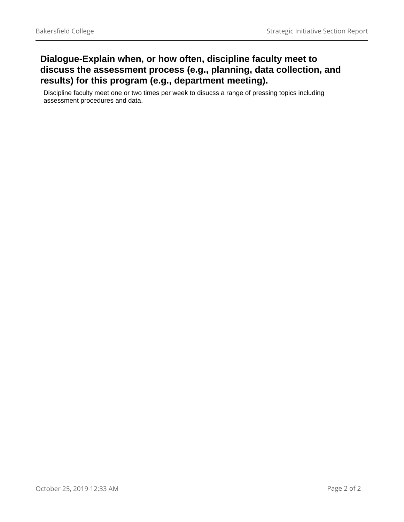# **Dialogue-Explain when, or how often, discipline faculty meet to discuss the assessment process (e.g., planning, data collection, and results) for this program (e.g., department meeting).**

Discipline faculty meet one or two times per week to disucss a range of pressing topics including assessment procedures and data.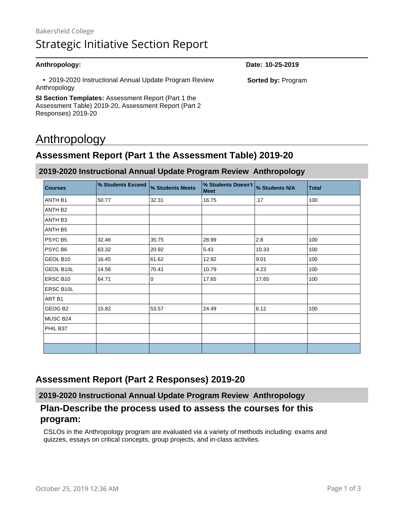| Anthropology:                                                          | Date: 10-25-2019          |
|------------------------------------------------------------------------|---------------------------|
| • 2019-2020 Instructional Annual Update Program Review<br>Anthropology | <b>Sorted by: Program</b> |
| <b>SI Section Templates:</b> Assessment Report (Part 1 the             |                           |
| Assessment Table) 2019-20, Assessment Report (Part 2)                  |                           |

# Anthropology

Responses) 2019-20

# **Assessment Report (Part 1 the Assessment Table) 2019-20**

#### **2019-2020 Instructional Annual Update Program Review Anthropology**

| <b>Courses</b>    | % Students Exceed | % Students Meets | % Students Doesn't<br>Meet | % Students N/A | <b>Total</b> |
|-------------------|-------------------|------------------|----------------------------|----------------|--------------|
| ANTH B1           | 50.77             | 32.31            | 16.75                      | .17            | 100          |
| ANTH B2           |                   |                  |                            |                |              |
| ANTH B3           |                   |                  |                            |                |              |
| ANTH B5           |                   |                  |                            |                |              |
| PSYC B5           | 32.46             | 35.75            | 28.99                      | 2.8            | 100          |
| PSYC B6           | 63.32             | 20.92            | 5.43                       | 10.33          | 100          |
| GEOL B10          | 16.45             | 61.62            | 12.92                      | 9.01           | 100          |
| GEOL B10L         | 14.58             | 70.41            | 10.79                      | 4.23           | 100          |
| ERSC B10          | 64.71             | 0                | 17.65                      | 17.65          | 100          |
| ERSC B10L         |                   |                  |                            |                |              |
| ART <sub>B1</sub> |                   |                  |                            |                |              |
| GEOG B2           | 15.82             | 53.57            | 24.49                      | 6.12           | 100          |
| MUSC B24          |                   |                  |                            |                |              |
| PHIL B37          |                   |                  |                            |                |              |
|                   |                   |                  |                            |                |              |
|                   |                   |                  |                            |                |              |

# **Assessment Report (Part 2 Responses) 2019-20**

**2019-2020 Instructional Annual Update Program Review Anthropology**

## **Plan-Describe the process used to assess the courses for this program:**

CSLOs in the Anthropology program are evaluated via a variety of methods including: exams and quizzes, essays on critical concepts, group projects, and in-class activites.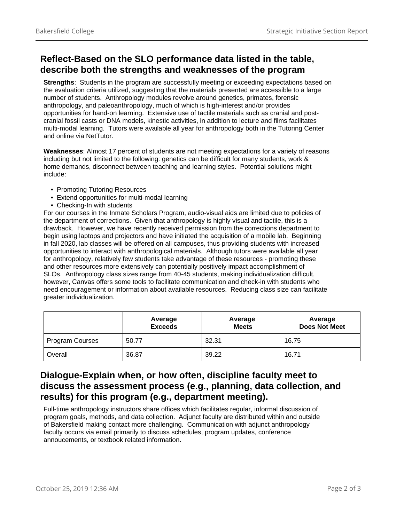# **Reflect-Based on the SLO performance data listed in the table, describe both the strengths and weaknesses of the program**

**Strengths**: Students in the program are successfully meeting or exceeding expectations based on the evaluation criteria utilized, suggesting that the materials presented are accessible to a large number of students. Anthropology modules revolve around genetics, primates, forensic anthropology, and paleoanthropology, much of which is high-interest and/or provides opportunities for hand-on learning. Extensive use of tactile materials such as cranial and postcranial fossil casts or DNA models, kinestic activities, in addition to lecture and films facilitates multi-modal learning. Tutors were available all year for anthropology both in the Tutoring Center and online via NetTutor.

**Weaknesses**: Almost 17 percent of students are not meeting expectations for a variety of reasons including but not limited to the following: genetics can be difficult for many students, work & home demands, disconnect between teaching and learning styles. Potential solutions might include:

- Promoting Tutoring Resources
- Extend opportunities for multi-modal learning
- Checking-In with students

For our courses in the Inmate Scholars Program, audio-visual aids are limited due to policies of the department of corrections. Given that anthropology is highly visual and tactile, this is a drawback. However, we have recently received permission from the corrections department to begin using laptops and projectors and have initiated the acquisition of a mobile lab. Beginning in fall 2020, lab classes will be offered on all campuses, thus providing students with increased opportunities to interact with anthropological materials. Although tutors were available all year for anthropology, relatively few students take advantage of these resources - promoting these and other resources more extensively can potentially positively impact accomplishment of SLOs. Anthropology class sizes range from 40-45 students, making individualization difficult, however, Canvas offers some tools to facilitate communication and check-in with students who need encouragement or information about available resources. Reducing class size can facilitate greater individualization.

|                        | Average<br><b>Exceeds</b> | Average<br><b>Meets</b> | Average<br><b>Does Not Meet</b> |
|------------------------|---------------------------|-------------------------|---------------------------------|
| <b>Program Courses</b> | 50.77                     | 32.31                   | 16.75                           |
| Overall                | 36.87                     | 39.22                   | 16.71                           |

## **Dialogue-Explain when, or how often, discipline faculty meet to discuss the assessment process (e.g., planning, data collection, and results) for this program (e.g., department meeting).**

Full-time anthropology instructors share offices which facilitates regular, informal discussion of program goals, methods, and data collection. Adjunct faculty are distributed within and outside of Bakersfield making contact more challenging. Communication with adjunct anthropology faculty occurs via email primarily to discuss schedules, program updates, conference annoucements, or textbook related information.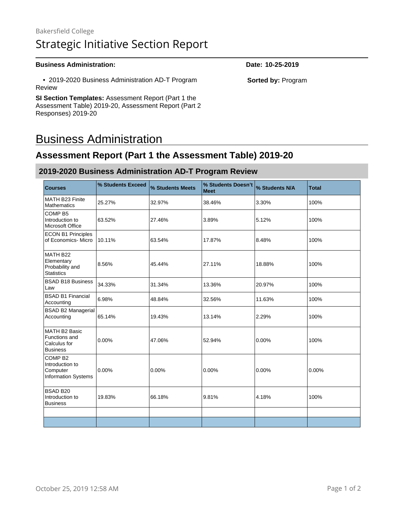# Bakersfield College Strategic Initiative Section Report

#### **Business Administration: Date: 10-25-2019**

 • 2019-2020 Business Administration AD-T Program Review

**SI Section Templates:** Assessment Report (Part 1 the Assessment Table) 2019-20, Assessment Report (Part 2 Responses) 2019-20

# Business Administration

# **Assessment Report (Part 1 the Assessment Table) 2019-20**

#### **2019-2020 Business Administration AD-T Program Review**

| <b>Courses</b>                                                                  | % Students Exceed | % Students Meets | % Students Doesn't<br><b>Meet</b> | % Students N/A | <b>Total</b> |
|---------------------------------------------------------------------------------|-------------------|------------------|-----------------------------------|----------------|--------------|
| MATH B23 Finite<br><b>Mathematics</b>                                           | 25.27%            | 32.97%           | 38.46%                            | 3.30%          | 100%         |
| COMP <sub>B5</sub><br>Introduction to<br>Microsoft Office                       | 63.52%            | 27.46%           | 3.89%                             | 5.12%          | 100%         |
| <b>ECON B1 Principles</b><br>of Economics- Micro                                | 10.11%            | 63.54%           | 17.87%                            | 8.48%          | 100%         |
| MATH B22<br>Elementary<br>Probability and<br><b>Statistics</b>                  | 8.56%             | 45.44%           | 27.11%                            | 18.88%         | 100%         |
| <b>BSAD B18 Business</b><br>Law                                                 | 34.33%            | 31.34%           | 13.36%                            | 20.97%         | 100%         |
| <b>BSAD B1 Financial</b><br>Accounting                                          | 6.98%             | 48.84%           | 32.56%                            | 11.63%         | 100%         |
| <b>BSAD B2 Managerial</b><br>Accounting                                         | 65.14%            | 19.43%           | 13.14%                            | 2.29%          | 100%         |
| MATH B2 Basic<br>Functions and<br>Calculus for<br><b>Business</b>               | 0.00%             | 47.06%           | 52.94%                            | $0.00\%$       | 100%         |
| COMP <sub>B2</sub><br>Introduction to<br>Computer<br><b>Information Systems</b> | $0.00\%$          | 0.00%            | 0.00%                             | 0.00%          | $0.00\%$     |
| <b>BSAD B20</b><br>Introduction to<br><b>Business</b>                           | 19.83%            | 66.18%           | 9.81%                             | 4.18%          | 100%         |
|                                                                                 |                   |                  |                                   |                |              |
|                                                                                 |                   |                  |                                   |                |              |

**Sorted by:** Program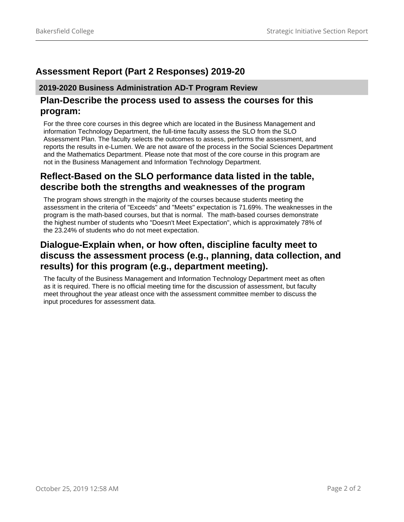# **Assessment Report (Part 2 Responses) 2019-20**

#### **2019-2020 Business Administration AD-T Program Review**

### **Plan-Describe the process used to assess the courses for this program:**

For the three core courses in this degree which are located in the Business Management and information Technology Department, the full-time faculty assess the SLO from the SLO Assessment Plan. The faculty selects the outcomes to assess, performs the assessment, and reports the results in e-Lumen. We are not aware of the process in the Social Sciences Department and the Mathematics Department. Please note that most of the core course in this program are not in the Business Management and Information Technology Department.

# **Reflect-Based on the SLO performance data listed in the table, describe both the strengths and weaknesses of the program**

The program shows strength in the majority of the courses because students meeting the assessment in the criteria of "Exceeds" and "Meets" expectation is 71.69%. The weaknesses in the program is the math-based courses, but that is normal. The math-based courses demonstrate the highest number of students who "Doesn't Meet Expectation", which is approximately 78% of the 23.24% of students who do not meet expectation.

# **Dialogue-Explain when, or how often, discipline faculty meet to discuss the assessment process (e.g., planning, data collection, and results) for this program (e.g., department meeting).**

The faculty of the Business Management and Information Technology Department meet as often as it is required. There is no official meeting time for the discussion of assessment, but faculty meet throughout the year atleast once with the assessment committee member to discuss the input procedures for assessment data.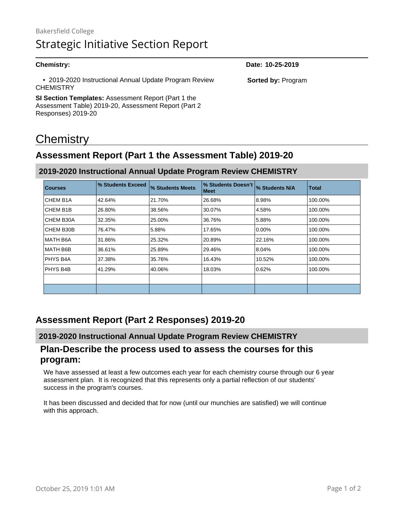| <b>Chemistry:</b>                                                          | Date: 10-25-2019          |
|----------------------------------------------------------------------------|---------------------------|
| • 2019-2020 Instructional Annual Update Program Review<br><b>CHEMISTRY</b> | <b>Sorted by: Program</b> |
| <b>SI Section Templates:</b> Assessment Report (Part 1 the                 |                           |
| Assessment Table) 2019-20, Assessment Report (Part 2)                      |                           |
| Responses) 2019-20                                                         |                           |

# **Chemistry**

# **Assessment Report (Part 1 the Assessment Table) 2019-20**

| <b>Courses</b>        | % Students Exceed | % Students Meets | I% Students Doesn't I<br>  Meet | % Students N/A | <b>Total</b> |
|-----------------------|-------------------|------------------|---------------------------------|----------------|--------------|
| CHEM B <sub>1</sub> A | 42.64%            | 21.70%           | 26.68%                          | 8.98%          | 100.00%      |
| CHEM B <sub>1</sub> B | 26.80%            | 38.56%           | 30.07%                          | 4.58%          | 100.00%      |
| CHEM B30A             | 32.35%            | 25.00%           | 36.76%                          | 5.88%          | 100.00%      |
| CHEM B30B             | 76.47%            | 5.88%            | 17.65%                          | 0.00%          | 100.00%      |
| MATH B6A              | 31.86%            | 25.32%           | 20.89%                          | 22.16%         | 100.00%      |
| MATH B6B              | 36.61%            | 25.89%           | 29.46%                          | 8.04%          | 100.00%      |
| PHYS B4A              | 37.38%            | 35.76%           | 16.43%                          | 10.52%         | 100.00%      |
| PHYS B4B              | 41.29%            | 40.06%           | 18.03%                          | 0.62%          | 100.00%      |
|                       |                   |                  |                                 |                |              |
|                       |                   |                  |                                 |                |              |

#### **2019-2020 Instructional Annual Update Program Review CHEMISTRY**

# **Assessment Report (Part 2 Responses) 2019-20**

#### **2019-2020 Instructional Annual Update Program Review CHEMISTRY**

### **Plan-Describe the process used to assess the courses for this program:**

We have assessed at least a few outcomes each year for each chemistry course through our 6 year assessment plan. It is recognized that this represents only a partial reflection of our students' success in the program's courses.

It has been discussed and decided that for now (until our munchies are satisfied) we will continue with this approach.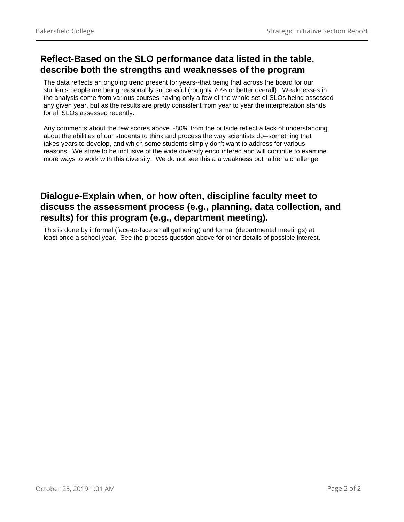# **Reflect-Based on the SLO performance data listed in the table, describe both the strengths and weaknesses of the program**

The data reflects an ongoing trend present for years--that being that across the board for our students people are being reasonably successful (roughly 70% or better overall). Weaknesses in the analysis come from various courses having only a few of the whole set of SLOs being assessed any given year, but as the results are pretty consistent from year to year the interpretation stands for all SLOs assessed recently.

Any comments about the few scores above ~80% from the outside reflect a lack of understanding about the abilities of our students to think and process the way scientists do--something that takes years to develop, and which some students simply don't want to address for various reasons. We strive to be inclusive of the wide diversity encountered and will continue to examine more ways to work with this diversity. We do not see this a a weakness but rather a challenge!

# **Dialogue-Explain when, or how often, discipline faculty meet to discuss the assessment process (e.g., planning, data collection, and results) for this program (e.g., department meeting).**

This is done by informal (face-to-face small gathering) and formal (departmental meetings) at least once a school year. See the process question above for other details of possible interest.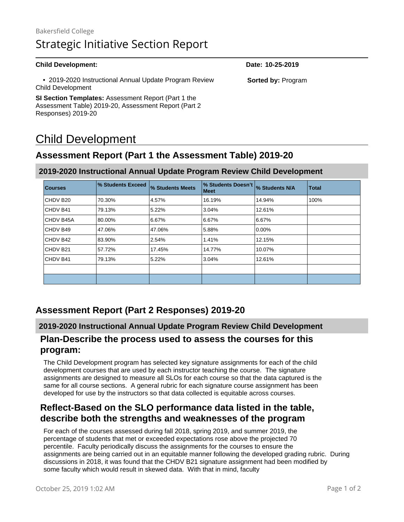# Bakersfield College Strategic Initiative Section Report

#### **Child Development: Date: 10-25-2019**

 • 2019-2020 Instructional Annual Update Program Review Child Development

**SI Section Templates:** Assessment Report (Part 1 the Assessment Table) 2019-20, Assessment Report (Part 2 Responses) 2019-20

# Child Development

# **Assessment Report (Part 1 the Assessment Table) 2019-20**

| <b>Courses</b>       | % Students Exceed | % Students Meets | % Students Doesn't<br><b>Meet</b> | % Students N/A | <b>Total</b> |
|----------------------|-------------------|------------------|-----------------------------------|----------------|--------------|
| CHDV B20             | 70.30%            | 4.57%            | 16.19%                            | 14.94%         | 100%         |
| CHDV B41             | 79.13%            | 5.22%            | 3.04%                             | 12.61%         |              |
| CHDV B45A            | 80.00%            | 6.67%            | 6.67%                             | 6.67%          |              |
| CHDV B49             | 47.06%            | 47.06%           | 5.88%                             | 0.00%          |              |
| CHDV B42             | 83.90%            | 2.54%            | 1.41%                             | 12.15%         |              |
| CHDV B <sub>21</sub> | 57.72%            | 17.45%           | 14.77%                            | 10.07%         |              |
| CHDV B41             | 79.13%            | 5.22%            | 3.04%                             | 12.61%         |              |
|                      |                   |                  |                                   |                |              |
|                      |                   |                  |                                   |                |              |

### **2019-2020 Instructional Annual Update Program Review Child Development**

# **Assessment Report (Part 2 Responses) 2019-20**

#### **2019-2020 Instructional Annual Update Program Review Child Development**

### **Plan-Describe the process used to assess the courses for this program:**

The Child Development program has selected key signature assignments for each of the child development courses that are used by each instructor teaching the course. The signature assignments are designed to measure all SLOs for each course so that the data captured is the same for all course sections. A general rubric for each signature course assignment has been developed for use by the instructors so that data collected is equitable across courses.

## **Reflect-Based on the SLO performance data listed in the table, describe both the strengths and weaknesses of the program**

For each of the courses assessed during fall 2018, spring 2019, and summer 2019, the percentage of students that met or exceeded expectations rose above the projected 70 percentile. Faculty periodically discuss the assignments for the courses to ensure the assignments are being carried out in an equitable manner following the developed grading rubric. During discussions in 2018, it was found that the CHDV B21 signature assignment had been modified by some faculty which would result in skewed data. With that in mind, faculty

**Sorted by:** Program